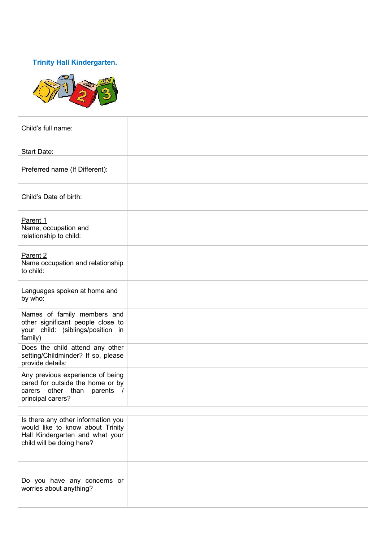## **Trinity Hall Kindergarten.**



| Child's full name:                                                                                                                     |  |
|----------------------------------------------------------------------------------------------------------------------------------------|--|
| Start Date:                                                                                                                            |  |
| Preferred name (If Different):                                                                                                         |  |
| Child's Date of birth:                                                                                                                 |  |
| Parent 1<br>Name, occupation and<br>relationship to child:                                                                             |  |
| Parent <sub>2</sub><br>Name occupation and relationship<br>to child:                                                                   |  |
| Languages spoken at home and<br>by who:                                                                                                |  |
| Names of family members and<br>other significant people close to<br>your child: (siblings/position in<br>family)                       |  |
| Does the child attend any other<br>setting/Childminder? If so, please<br>provide details:                                              |  |
| Any previous experience of being<br>cared for outside the home or by<br>carers other than parents /<br>principal carers?               |  |
|                                                                                                                                        |  |
| Is there any other information you<br>would like to know about Trinity<br>Hall Kindergarten and what your<br>child will be doing here? |  |

Do you have any concerns or worries about anything?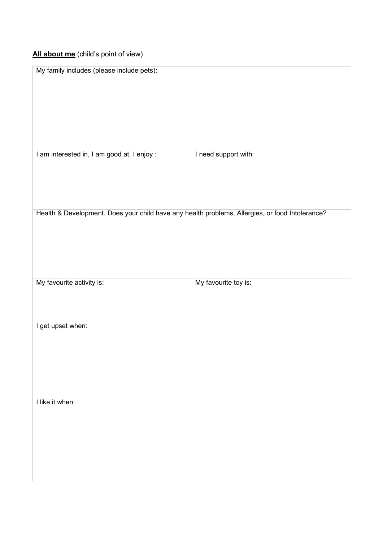## **All about me** (child's point of view)

| My family includes (please include pets):                                                       |                      |  |
|-------------------------------------------------------------------------------------------------|----------------------|--|
| I am interested in, I am good at, I enjoy :                                                     | I need support with: |  |
| Health & Development. Does your child have any health problems, Allergies, or food Intolerance? |                      |  |
| My favourite activity is:                                                                       | My favourite toy is: |  |
| I get upset when:                                                                               |                      |  |
| I like it when:                                                                                 |                      |  |